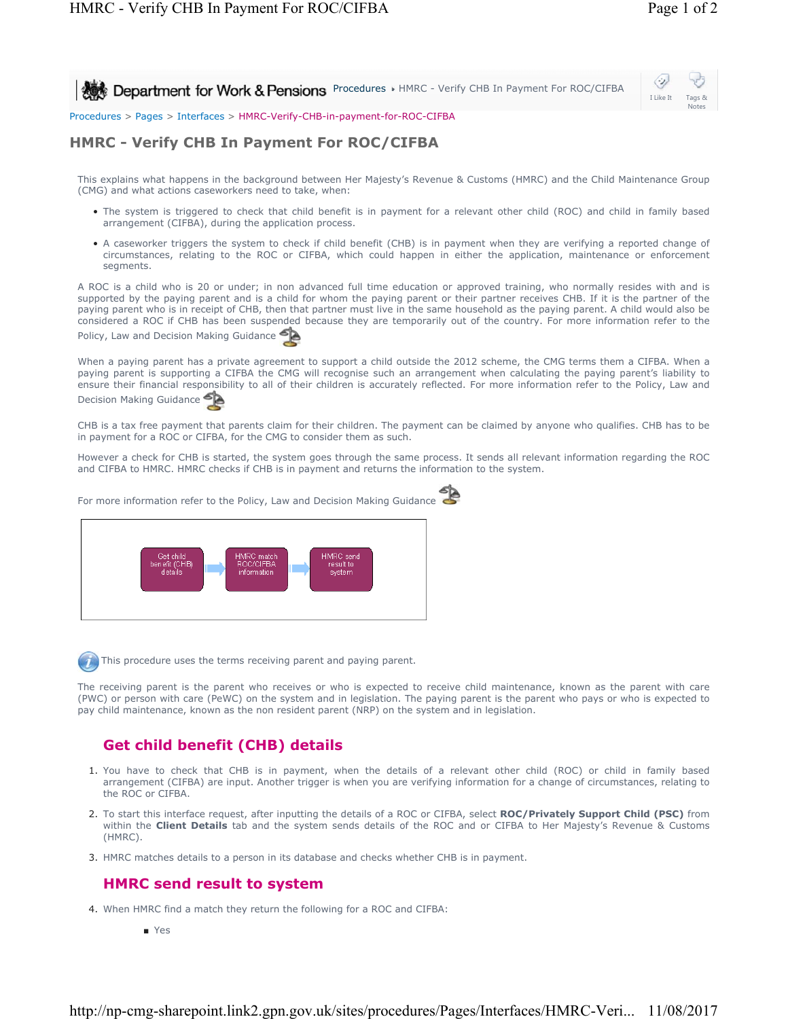**Procedures HMRC - Verify CHB In Payment For ROC/CIFBA** 

Ò, I Like It Tags & Notes

Procedures > Pages > Interfaces > HMRC-Verify-CHB-in-payment-for-ROC-CIFBA

## **HMRC - Verify CHB In Payment For ROC/CIFBA**

This explains what happens in the background between Her Majesty's Revenue & Customs (HMRC) and the Child Maintenance Group (CMG) and what actions caseworkers need to take, when:

- The system is triggered to check that child benefit is in payment for a relevant other child (ROC) and child in family based arrangement (CIFBA), during the application process.
- A caseworker triggers the system to check if child benefit (CHB) is in payment when they are verifying a reported change of circumstances, relating to the ROC or CIFBA, which could happen in either the application, maintenance or enforcement segments.

A ROC is a child who is 20 or under; in non advanced full time education or approved training, who normally resides with and is supported by the paying parent and is a child for whom the paying parent or their partner receives CHB. If it is the partner of the paying parent who is in receipt of CHB, then that partner must live in the same household as the paying parent. A child would also be considered a ROC if CHB has been suspended because they are temporarily out of the country. For more information refer to the Policy, Law and Decision Making Guidance

When a paying parent has a private agreement to support a child outside the 2012 scheme, the CMG terms them a CIFBA. When a paying parent is supporting a CIFBA the CMG will recognise such an arrangement when calculating the paying parent's liability to ensure their financial responsibility to all of their children is accurately reflected. For more information refer to the Policy, Law and Decision Making Guidance

CHB is a tax free payment that parents claim for their children. The payment can be claimed by anyone who qualifies. CHB has to be in payment for a ROC or CIFBA, for the CMG to consider them as such.

However a check for CHB is started, the system goes through the same process. It sends all relevant information regarding the ROC and CIFBA to HMRC. HMRC checks if CHB is in payment and returns the information to the system.

For more information refer to the Policy, Law and Decision Making Guidance



This procedure uses the terms receiving parent and paying parent.

The receiving parent is the parent who receives or who is expected to receive child maintenance, known as the parent with care (PWC) or person with care (PeWC) on the system and in legislation. The paying parent is the parent who pays or who is expected to pay child maintenance, known as the non resident parent (NRP) on the system and in legislation.

## **Get child benefit (CHB) details**

- 1. You have to check that CHB is in payment, when the details of a relevant other child (ROC) or child in family based arrangement (CIFBA) are input. Another trigger is when you are verifying information for a change of circumstances, relating to the ROC or CIFBA.
- 2. To start this interface request, after inputting the details of a ROC or CIFBA, select **ROC/Privately Support Child (PSC)** from within the **Client Details** tab and the system sends details of the ROC and or CIFBA to Her Majesty's Revenue & Customs (HMRC).
- 3. HMRC matches details to a person in its database and checks whether CHB is in payment.

## **HMRC send result to system**

- 4. When HMRC find a match they return the following for a ROC and CIFBA:
	- Yes